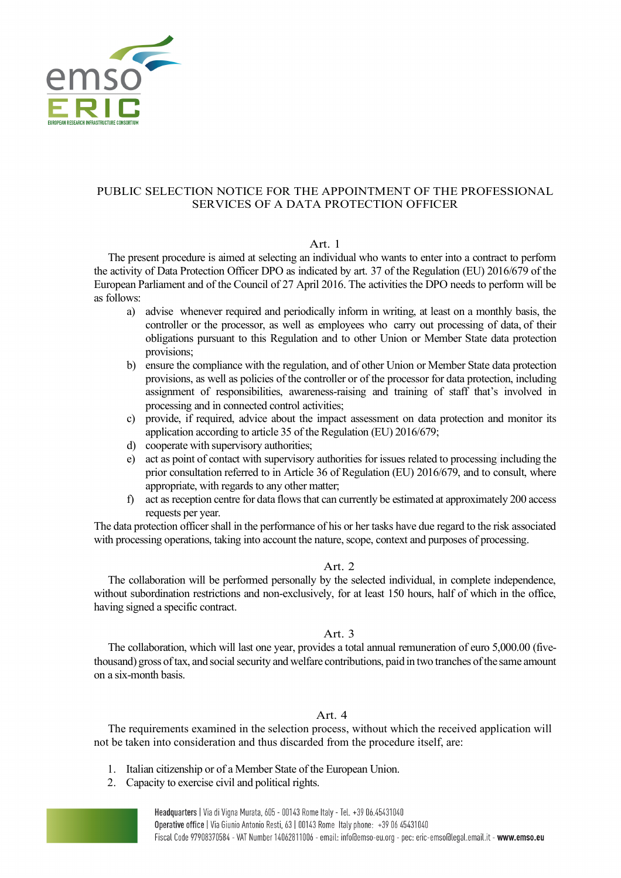

# PUBLIC SELECTION NOTICE FOR THE APPOINTMENT OF THE PROFESSIONAL SERVICES OF A DATA PROTECTION OFFICER

#### Art. 1

The present procedure is aimed at selecting an individual who wants to enter into a contract to perform the activity of Data Protection Officer DPO as indicated by art. 37 of the Regulation (EU) 2016/679 of the European Parliament and of the Council of 27 April 2016. The activities the DPO needs to perform will be as follows:

- a) advise whenever required and periodically inform in writing, at least on a monthly basis, the controller or the processor, as well as employees who carry out processing of data, of their obligations pursuant to this Regulation and to other Union or Member State data protection provisions;
- b) ensure the compliance with the regulation, and of other Union or Member State data protection provisions, as well as policies of the controller or of the processor for data protection, including assignment of responsibilities, awareness-raising and training of staff that's involved in processing and in connected control activities;
- c) provide, if required, advice about the impact assessment on data protection and monitor its application according to article 35 of the Regulation (EU) 2016/679;
- d) cooperate with supervisory authorities;
- e) act as point of contact with supervisory authorities for issues related to processing including the prior consultation referred to in Article 36 of Regulation (EU) 2016/679, and to consult, where appropriate, with regards to any other matter;
- f) act as reception centre for data flows that can currently be estimated at approximately 200 access requests per year.

The data protection officer shall in the performance of his or her tasks have due regard to the risk associated with processing operations, taking into account the nature, scope, context and purposes of processing.

### Art. 2

The collaboration will be performed personally by the selected individual, in complete independence, without subordination restrictions and non-exclusively, for at least 150 hours, half of which in the office, having signed a specific contract.

### Art. 3

The collaboration, which will last one year, provides a total annual remuneration of euro 5,000.00 (fivethousand) gross of tax, and social security and welfare contributions, paid in two tranches of the same amount on a six-month basis.

### Art. 4

The requirements examined in the selection process, without which the received application will not be taken into consideration and thus discarded from the procedure itself, are:

- 1. Italian citizenship or of a Member State of the European Union.
- 2. Capacity to exercise civil and political rights.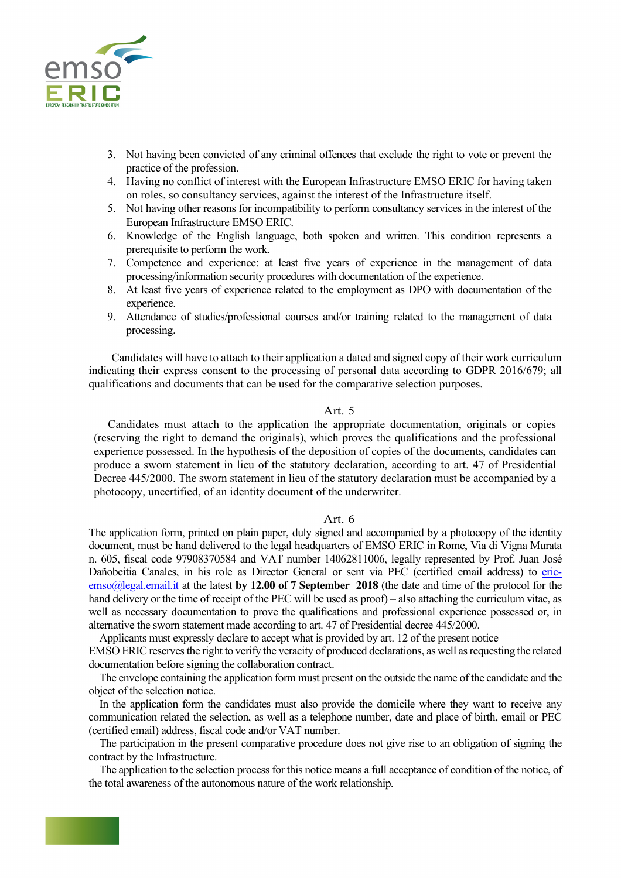

- 3. Not having been convicted of any criminal offences that exclude the right to vote or prevent the practice of the profession.
- 4. Having no conflict of interest with the European Infrastructure EMSO ERIC for having taken on roles, so consultancy services, against the interest of the Infrastructure itself.
- 5. Not having other reasons for incompatibility to perform consultancy services in the interest of the European Infrastructure EMSO ERIC.
- 6. Knowledge of the English language, both spoken and written. This condition represents a prerequisite to perform the work.
- 7. Competence and experience: at least five years of experience in the management of data processing/information security procedures with documentation of the experience.
- 8. At least five years of experience related to the employment as DPO with documentation of the experience.
- 9. Attendance of studies/professional courses and/or training related to the management of data processing.

 Candidates will have to attach to their application a dated and signed copy of their work curriculum indicating their express consent to the processing of personal data according to GDPR 2016/679; all qualifications and documents that can be used for the comparative selection purposes.

#### Art. 5

Candidates must attach to the application the appropriate documentation, originals or copies (reserving the right to demand the originals), which proves the qualifications and the professional experience possessed. In the hypothesis of the deposition of copies of the documents, candidates can produce a sworn statement in lieu of the statutory declaration, according to art. 47 of Presidential Decree 445/2000. The sworn statement in lieu of the statutory declaration must be accompanied by a photocopy, uncertified, of an identity document of the underwriter.

### Art. 6

The application form, printed on plain paper, duly signed and accompanied by a photocopy of the identity document, must be hand delivered to the legal headquarters of EMSO ERIC in Rome, Via di Vigna Murata n. 605, fiscal code 97908370584 and VAT number 14062811006, legally represented by Prof. Juan José Dañobeitia Canales, in his role as Director General or sent via PEC (certified email address) to ericemso@legal.email.it at the latest **by 12.00 of 7 September 2018** (the date and time of the protocol for the hand delivery or the time of receipt of the PEC will be used as proof) – also attaching the curriculum vitae, as well as necessary documentation to prove the qualifications and professional experience possessed or, in alternative the sworn statement made according to art. 47 of Presidential decree 445/2000.

Applicants must expressly declare to accept what is provided by art. 12 of the present notice

EMSO ERIC reserves the right to verify the veracity of produced declarations, as well as requesting the related documentation before signing the collaboration contract.

 The envelope containing the application form must present on the outside the name of the candidate and the object of the selection notice.

In the application form the candidates must also provide the domicile where they want to receive any communication related the selection, as well as a telephone number, date and place of birth, email or PEC (certified email) address, fiscal code and/or VAT number.

 The participation in the present comparative procedure does not give rise to an obligation of signing the contract by the Infrastructure.

 The application to the selection process for this notice means a full acceptance of condition of the notice, of the total awareness of the autonomous nature of the work relationship.